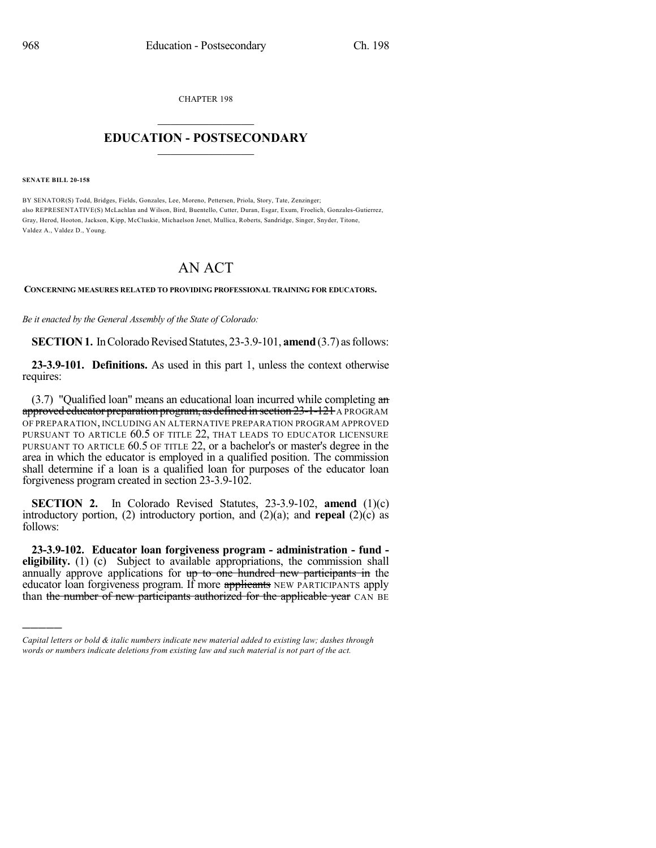CHAPTER 198

## $\mathcal{L}_\text{max}$  . The set of the set of the set of the set of the set of the set of the set of the set of the set of the set of the set of the set of the set of the set of the set of the set of the set of the set of the set **EDUCATION - POSTSECONDARY**  $\_$   $\_$   $\_$   $\_$   $\_$   $\_$   $\_$   $\_$   $\_$

**SENATE BILL 20-158**

)))))

BY SENATOR(S) Todd, Bridges, Fields, Gonzales, Lee, Moreno, Pettersen, Priola, Story, Tate, Zenzinger; also REPRESENTATIVE(S) McLachlan and Wilson, Bird, Buentello, Cutter, Duran, Esgar, Exum, Froelich, Gonzales-Gutierrez, Gray, Herod, Hooton, Jackson, Kipp, McCluskie, Michaelson Jenet, Mullica, Roberts, Sandridge, Singer, Snyder, Titone, Valdez A., Valdez D., Young.

## AN ACT

## **CONCERNING MEASURES RELATED TO PROVIDING PROFESSIONAL TRAINING FOR EDUCATORS.**

*Be it enacted by the General Assembly of the State of Colorado:*

**SECTION 1.** In Colorado Revised Statutes, 23-3.9-101, **amend** (3.7) as follows:

**23-3.9-101. Definitions.** As used in this part 1, unless the context otherwise requires:

(3.7) "Qualified loan" means an educational loan incurred while completing an approved educator preparation program, as defined in section 23-1-121 A PROGRAM OF PREPARATION, INCLUDING AN ALTERNATIVE PREPARATION PROGRAM APPROVED PURSUANT TO ARTICLE 60.5 OF TITLE 22, THAT LEADS TO EDUCATOR LICENSURE PURSUANT TO ARTICLE 60.5 OF TITLE 22, or a bachelor's or master's degree in the area in which the educator is employed in a qualified position. The commission shall determine if a loan is a qualified loan for purposes of the educator loan forgiveness program created in section 23-3.9-102.

**SECTION 2.** In Colorado Revised Statutes, 23-3.9-102, **amend** (1)(c) introductory portion, (2) introductory portion, and (2)(a); and **repeal** (2)(c) as follows:

**23-3.9-102. Educator loan forgiveness program - administration - fund eligibility.** (1) (c) Subject to available appropriations, the commission shall annually approve applications for up to one hundred new participants in the educator loan forgiveness program. If more applicants NEW PARTICIPANTS apply than the number of new participants authorized for the applicable year CAN BE

*Capital letters or bold & italic numbers indicate new material added to existing law; dashes through words or numbers indicate deletions from existing law and such material is not part of the act.*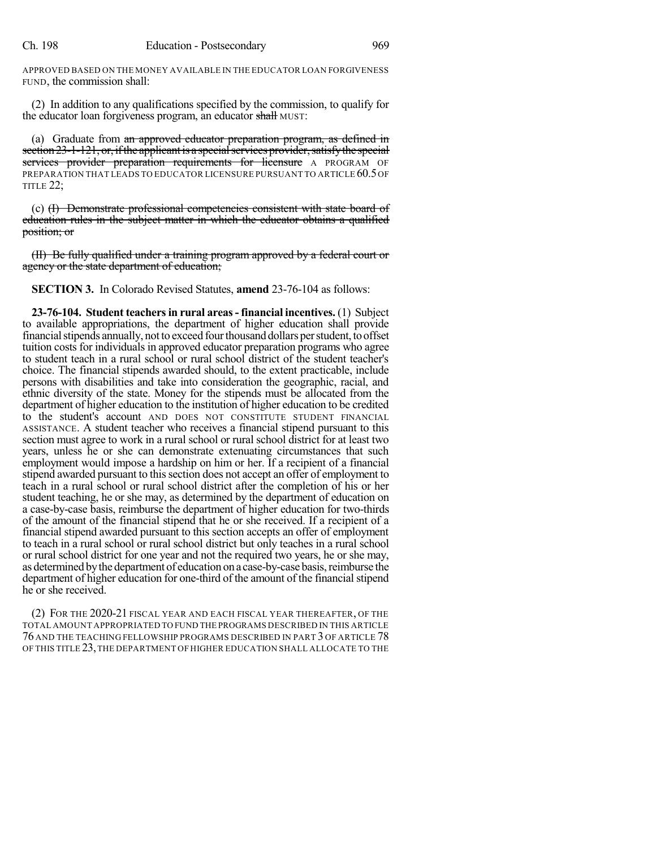APPROVED BASED ON THE MONEY AVAILABLE IN THE EDUCATOR LOAN FORGIVENESS FUND, the commission shall:

(2) In addition to any qualifications specified by the commission, to qualify for the educator loan forgiveness program, an educator shall MUST:

(a) Graduate from an approved educator preparation program, as defined in section 23-1-121, or, if the applicant is a special services provider, satisfy the special services provider preparation requirements for licensure A PROGRAM OF PREPARATION THAT LEADS TO EDUCATOR LICENSURE PURSUANT TO ARTICLE 60.5 OF TITLE 22:

(c) (I) Demonstrate professional competencies consistent with state board of education rules in the subject matter in which the educator obtains a qualified position; or

(II) Be fully qualified under a training program approved by a federal court or agency or the state department of education;

**SECTION 3.** In Colorado Revised Statutes, **amend** 23-76-104 as follows:

**23-76-104. Student teachersin rural areas- financial incentives.** (1) Subject to available appropriations, the department of higher education shall provide financial stipends annually, not to exceed four thousand dollars per student, to offset tuition costs for individuals in approved educator preparation programs who agree to student teach in a rural school or rural school district of the student teacher's choice. The financial stipends awarded should, to the extent practicable, include persons with disabilities and take into consideration the geographic, racial, and ethnic diversity of the state. Money for the stipends must be allocated from the department of higher education to the institution of higher education to be credited to the student's account AND DOES NOT CONSTITUTE STUDENT FINANCIAL ASSISTANCE. A student teacher who receives a financial stipend pursuant to this section must agree to work in a rural school or rural school district for at least two years, unless he or she can demonstrate extenuating circumstances that such employment would impose a hardship on him or her. If a recipient of a financial stipend awarded pursuant to this section does not accept an offer of employment to teach in a rural school or rural school district after the completion of his or her student teaching, he or she may, as determined by the department of education on a case-by-case basis, reimburse the department of higher education for two-thirds of the amount of the financial stipend that he or she received. If a recipient of a financial stipend awarded pursuant to this section accepts an offer of employment to teach in a rural school or rural school district but only teaches in a rural school or rural school district for one year and not the required two years, he or she may, as determined bythe department of education ona case-by-case basis,reimburse the department of higher education for one-third of the amount of the financial stipend he or she received.

(2) FOR THE 2020-21 FISCAL YEAR AND EACH FISCAL YEAR THEREAFTER, OF THE TOTAL AMOUNT APPROPRIATED TO FUND THE PROGRAMS DESCRIBED IN THIS ARTICLE 76 AND THE TEACHING FELLOWSHIP PROGRAMS DESCRIBED IN PART 3 OF ARTICLE 78 OF THIS TITLE 23,THE DEPARTMENT OF HIGHER EDUCATION SHALL ALLOCATE TO THE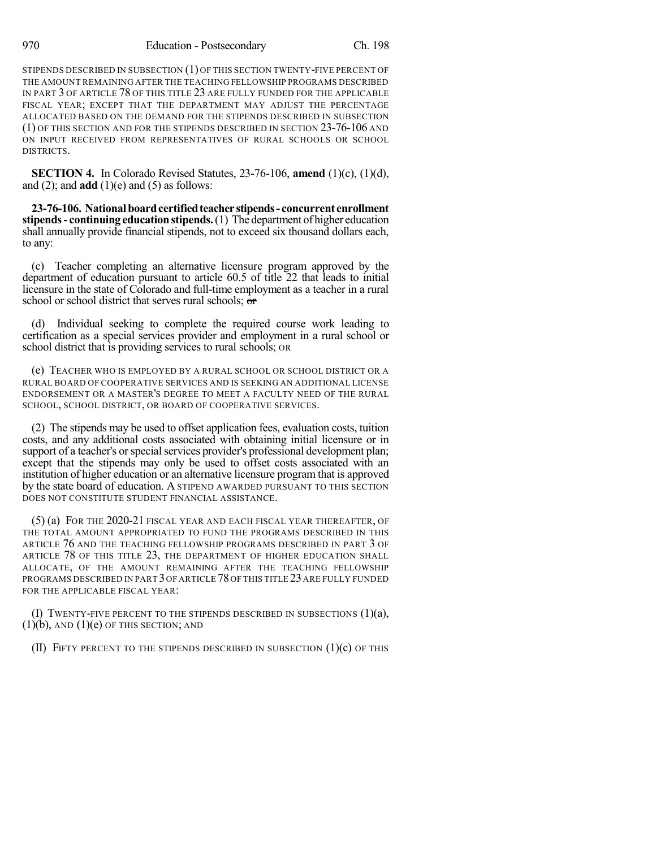STIPENDS DESCRIBED IN SUBSECTION (1) OF THIS SECTION TWENTY-FIVE PERCENT OF THE AMOUNT REMAINING AFTER THE TEACHING FELLOWSHIP PROGRAMS DESCRIBED IN PART 3 OF ARTICLE 78 OF THIS TITLE 23 ARE FULLY FUNDED FOR THE APPLICABLE FISCAL YEAR; EXCEPT THAT THE DEPARTMENT MAY ADJUST THE PERCENTAGE ALLOCATED BASED ON THE DEMAND FOR THE STIPENDS DESCRIBED IN SUBSECTION (1) OF THIS SECTION AND FOR THE STIPENDS DESCRIBED IN SECTION 23-76-106 AND ON INPUT RECEIVED FROM REPRESENTATIVES OF RURAL SCHOOLS OR SCHOOL DISTRICTS.

**SECTION 4.** In Colorado Revised Statutes, 23-76-106, **amend** (1)(c), (1)(d), and  $(2)$ ; and **add**  $(1)(e)$  and  $(5)$  as follows:

**23-76-106. Nationalboardcertifiedteacher stipends- concurrent enrollment stipends** - **continuing education stipends.** (1) The department of higher education shall annually provide financial stipends, not to exceed six thousand dollars each, to any:

(c) Teacher completing an alternative licensure program approved by the department of education pursuant to article 60.5 of title 22 that leads to initial licensure in the state of Colorado and full-time employment as a teacher in a rural school or school district that serves rural schools; or

(d) Individual seeking to complete the required course work leading to certification as a special services provider and employment in a rural school or school district that is providing services to rural schools; OR

(e) TEACHER WHO IS EMPLOYED BY A RURAL SCHOOL OR SCHOOL DISTRICT OR A RURAL BOARD OF COOPERATIVE SERVICES AND IS SEEKING AN ADDITIONAL LICENSE ENDORSEMENT OR A MASTER'S DEGREE TO MEET A FACULTY NEED OF THE RURAL SCHOOL, SCHOOL DISTRICT, OR BOARD OF COOPERATIVE SERVICES.

(2) The stipends may be used to offset application fees, evaluation costs, tuition costs, and any additional costs associated with obtaining initial licensure or in support of a teacher's or special services provider's professional development plan; except that the stipends may only be used to offset costs associated with an institution of higher education or an alternative licensure program that is approved by the state board of education. A STIPEND AWARDED PURSUANT TO THIS SECTION DOES NOT CONSTITUTE STUDENT FINANCIAL ASSISTANCE.

(5) (a) FOR THE 2020-21 FISCAL YEAR AND EACH FISCAL YEAR THEREAFTER, OF THE TOTAL AMOUNT APPROPRIATED TO FUND THE PROGRAMS DESCRIBED IN THIS ARTICLE 76 AND THE TEACHING FELLOWSHIP PROGRAMS DESCRIBED IN PART 3 OF ARTICLE 78 OF THIS TITLE 23, THE DEPARTMENT OF HIGHER EDUCATION SHALL ALLOCATE, OF THE AMOUNT REMAINING AFTER THE TEACHING FELLOWSHIP PROGRAMS DESCRIBED IN PART 3 OF ARTICLE 78 OF THIS TITLE 23 ARE FULLY FUNDED FOR THE APPLICABLE FISCAL YEAR:

(I) TWENTY-FIVE PERCENT TO THE STIPENDS DESCRIBED IN SUBSECTIONS  $(1)(a)$ ,  $(1)(b)$ , AND  $(1)(e)$  OF THIS SECTION; AND

(II) FIFTY PERCENT TO THE STIPENDS DESCRIBED IN SUBSECTION  $(1)(c)$  OF THIS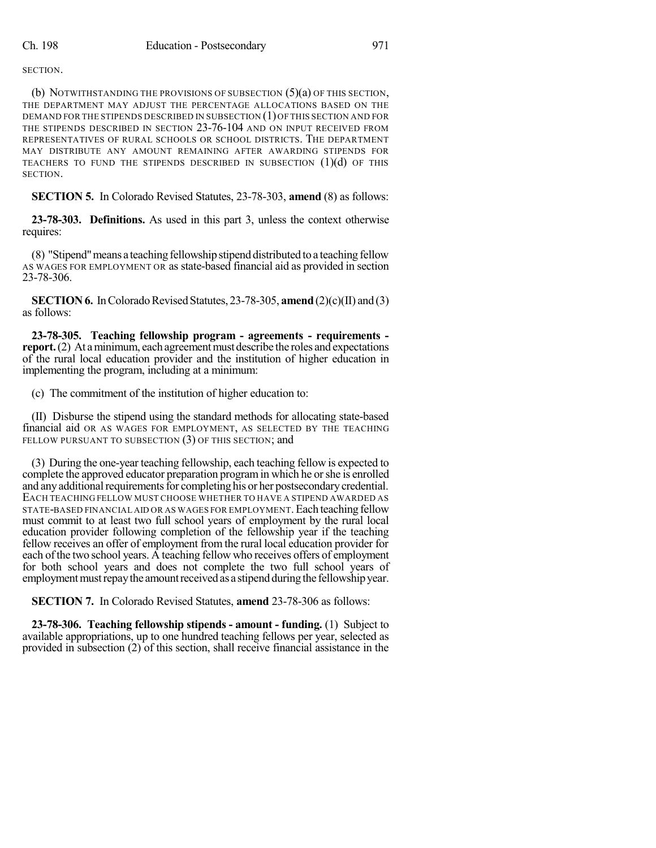SECTION.

(b) NOTWITHSTANDING THE PROVISIONS OF SUBSECTION  $(5)(a)$  OF THIS SECTION, THE DEPARTMENT MAY ADJUST THE PERCENTAGE ALLOCATIONS BASED ON THE DEMAND FOR THE STIPENDS DESCRIBED IN SUBSECTION (1)OF THIS SECTION AND FOR THE STIPENDS DESCRIBED IN SECTION 23-76-104 AND ON INPUT RECEIVED FROM REPRESENTATIVES OF RURAL SCHOOLS OR SCHOOL DISTRICTS. THE DEPARTMENT MAY DISTRIBUTE ANY AMOUNT REMAINING AFTER AWARDING STIPENDS FOR TEACHERS TO FUND THE STIPENDS DESCRIBED IN SUBSECTION  $(1)(d)$  OF THIS SECTION.

**SECTION 5.** In Colorado Revised Statutes, 23-78-303, **amend** (8) as follows:

**23-78-303. Definitions.** As used in this part 3, unless the context otherwise requires:

(8) "Stipend" means a teaching fellowship stipend distributed to a teaching fellow AS WAGES FOR EMPLOYMENT OR as state-based financial aid as provided in section 23-78-306.

**SECTION 6.** In Colorado Revised Statutes, 23-78-305, **amend** (2)(c)(II) and (3) as follows:

**23-78-305. Teaching fellowship program - agreements - requirements report.** (2) At a minimum, each agreement must describe the roles and expectations of the rural local education provider and the institution of higher education in implementing the program, including at a minimum:

(c) The commitment of the institution of higher education to:

(II) Disburse the stipend using the standard methods for allocating state-based financial aid OR AS WAGES FOR EMPLOYMENT, AS SELECTED BY THE TEACHING FELLOW PURSUANT TO SUBSECTION (3) OF THIS SECTION; and

(3) During the one-year teaching fellowship, each teaching fellow is expected to complete the approved educator preparation programin which he orshe is enrolled and any additional requirements for completing his or her postsecondary credential. EACH TEACHING FELLOW MUST CHOOSE WHETHER TO HAVE A STIPEND AWARDED AS STATE-BASED FINANCIAL AID OR AS WAGES FOR EMPLOYMENT.Each teaching fellow must commit to at least two full school years of employment by the rural local education provider following completion of the fellowship year if the teaching fellow receives an offer of employment from the rural local education provider for each of the two school years. A teaching fellow who receives offers of employment for both school years and does not complete the two full school years of employment must repay the amount received as a stipend during the fellowship year.

**SECTION 7.** In Colorado Revised Statutes, **amend** 23-78-306 as follows:

**23-78-306. Teaching fellowship stipends - amount - funding.** (1) Subject to available appropriations, up to one hundred teaching fellows per year, selected as provided in subsection (2) of this section, shall receive financial assistance in the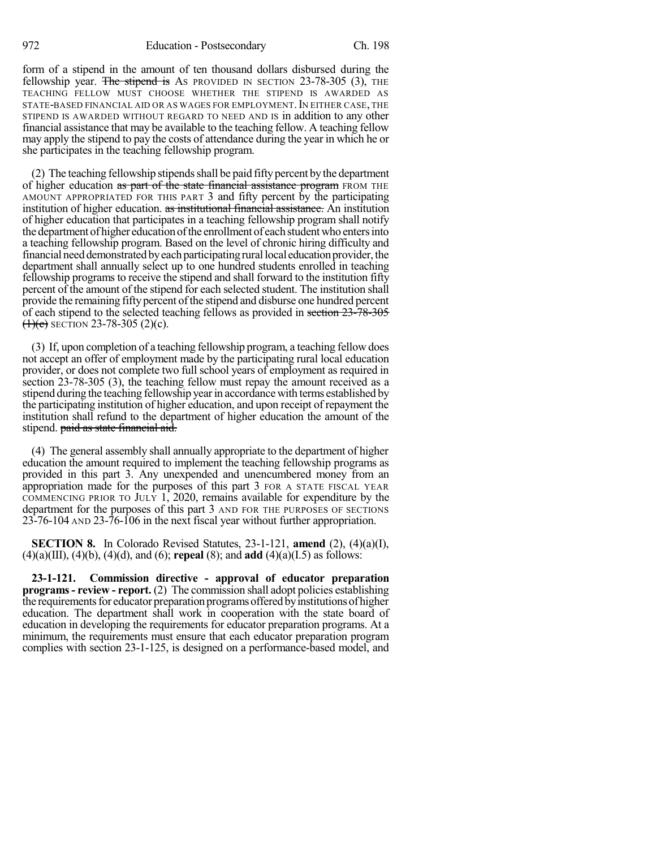form of a stipend in the amount of ten thousand dollars disbursed during the fellowship year. The stipend is As PROVIDED IN SECTION  $23-78-305$  (3), THE TEACHING FELLOW MUST CHOOSE WHETHER THE STIPEND IS AWARDED AS STATE-BASED FINANCIAL AID OR AS WAGES FOR EMPLOYMENT. IN EITHER CASE, THE STIPEND IS AWARDED WITHOUT REGARD TO NEED AND IS in addition to any other financial assistance that may be available to the teaching fellow. A teaching fellow may apply the stipend to pay the costs of attendance during the year in which he or she participates in the teaching fellowship program.

(2) The teaching fellowship stipends shall be paid fifty percent by the department of higher education as part of the state financial assistance program FROM THE AMOUNT APPROPRIATED FOR THIS PART 3 and fifty percent by the participating institution of higher education. as institutional financial assistance. An institution of higher education that participates in a teaching fellowship program shall notify the department of higher education of the enrollment of each student who enters into a teaching fellowship program. Based on the level of chronic hiring difficulty and financial need demonstrated by each participating rural local education provider, the department shall annually select up to one hundred students enrolled in teaching fellowship programs to receive the stipend and shall forward to the institution fifty percent of the amount of the stipend for each selected student. The institution shall provide the remaining fifty percent of the stipend and disburse one hundred percent of each stipend to the selected teaching fellows as provided in section 23-78-305  $(1)(e)$  SECTION 23-78-305 (2)(c).

(3) If, upon completion of a teaching fellowship program, a teaching fellow does not accept an offer of employment made by the participating rural local education provider, or does not complete two full school years of employment as required in section 23-78-305 (3), the teaching fellow must repay the amount received as a stipend during the teaching fellowship yearin accordance with terms established by the participating institution of higher education, and upon receipt of repayment the institution shall refund to the department of higher education the amount of the stipend. paid as state financial aid.

(4) The general assembly shall annually appropriate to the department of higher education the amount required to implement the teaching fellowship programs as provided in this part 3. Any unexpended and unencumbered money from an appropriation made for the purposes of this part 3 FOR A STATE FISCAL YEAR COMMENCING PRIOR TO JULY 1, 2020, remains available for expenditure by the department for the purposes of this part 3 AND FOR THE PURPOSES OF SECTIONS 23-76-104 AND 23-76-106 in the next fiscal year without further appropriation.

**SECTION 8.** In Colorado Revised Statutes, 23-1-121, **amend** (2), (4)(a)(I), (4)(a)(III), (4)(b), (4)(d), and (6); **repeal** (8); and **add** (4)(a)(I.5) as follows:

**23-1-121. Commission directive - approval of educator preparation programs- review - report.** (2) The commission shall adopt policies establishing the requirements for educator preparation programs offered by institutions of higher education. The department shall work in cooperation with the state board of education in developing the requirements for educator preparation programs. At a minimum, the requirements must ensure that each educator preparation program complies with section 23-1-125, is designed on a performance-based model, and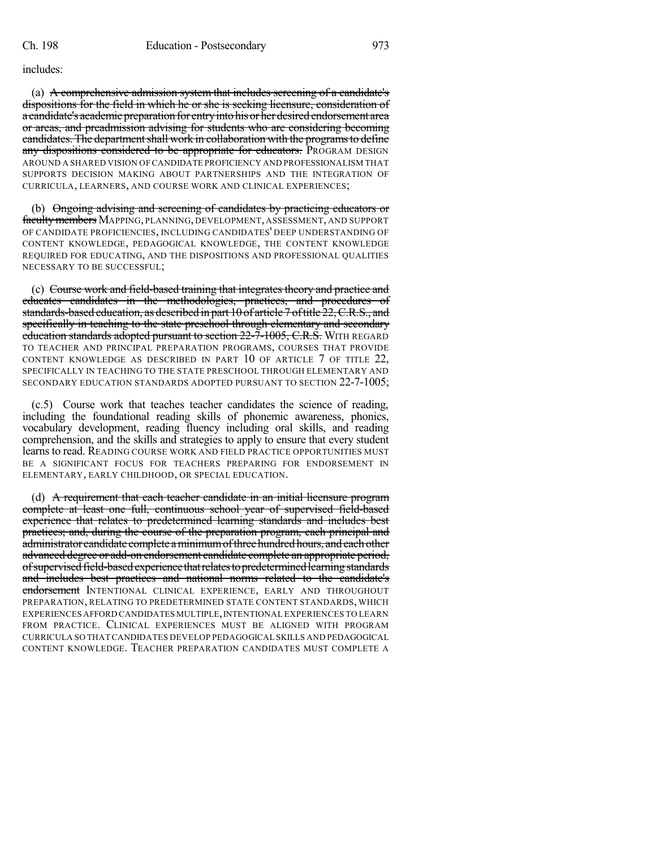includes:

(a) A comprehensive admission system that includes screening of a candidate's dispositions for the field in which he or she is seeking licensure, consideration of a candidate's academic preparation for entry into his or her desired endorsement area or areas, and preadmission advising for students who are considering becoming candidates. The department shall work in collaboration with the programs to define any dispositions considered to be appropriate for educators. PROGRAM DESIGN AROUND A SHARED VISION OF CANDIDATE PROFICIENCY AND PROFESSIONALISM THAT SUPPORTS DECISION MAKING ABOUT PARTNERSHIPS AND THE INTEGRATION OF CURRICULA, LEARNERS, AND COURSE WORK AND CLINICAL EXPERIENCES;

(b) Ongoing advising and screening of candidates by practicing educators or facultymembers MAPPING, PLANNING, DEVELOPMENT, ASSESSMENT, AND SUPPORT OF CANDIDATE PROFICIENCIES, INCLUDING CANDIDATES' DEEP UNDERSTANDING OF CONTENT KNOWLEDGE, PEDAGOGICAL KNOWLEDGE, THE CONTENT KNOWLEDGE REQUIRED FOR EDUCATING, AND THE DISPOSITIONS AND PROFESSIONAL QUALITIES NECESSARY TO BE SUCCESSFUL;

(c) Course work and field-based training that integrates theory and practice and educates candidates in the methodologies, practices, and procedures of standards-based education, as described in part  $10$  of article  $7$  of title  $22$ , C.R.S., and specifically in teaching to the state preschool through elementary and secondary education standards adopted pursuant to section 22-7-1005, C.R.S. WITH REGARD TO TEACHER AND PRINCIPAL PREPARATION PROGRAMS, COURSES THAT PROVIDE CONTENT KNOWLEDGE AS DESCRIBED IN PART 10 OF ARTICLE 7 OF TITLE 22, SPECIFICALLY IN TEACHING TO THE STATE PRESCHOOL THROUGH ELEMENTARY AND SECONDARY EDUCATION STANDARDS ADOPTED PURSUANT TO SECTION 22-7-1005;

(c.5) Course work that teaches teacher candidates the science of reading, including the foundational reading skills of phonemic awareness, phonics, vocabulary development, reading fluency including oral skills, and reading comprehension, and the skills and strategies to apply to ensure that every student learns to read. READING COURSE WORK AND FIELD PRACTICE OPPORTUNITIES MUST BE A SIGNIFICANT FOCUS FOR TEACHERS PREPARING FOR ENDORSEMENT IN ELEMENTARY, EARLY CHILDHOOD, OR SPECIAL EDUCATION.

(d) A requirement that each teacher candidate in an initial licensure program complete at least one full, continuous school year of supervised field-based experience that relates to predetermined learning standards and includes best practices; and, during the course of the preparation program, each principal and administrator candidate complete aminimumofthreehundredhours, andeachother advanced degree or add-on endorsement candidate complete an appropriate period, ofsupervisedfield-basedexperience thatrelatestopredeterminedlearningstandards and includes best practices and national norms related to the candidate's endorsement INTENTIONAL CLINICAL EXPERIENCE, EARLY AND THROUGHOUT PREPARATION, RELATING TO PREDETERMINED STATE CONTENT STANDARDS, WHICH EXPERIENCES AFFORD CANDIDATES MULTIPLE, INTENTIONAL EXPERIENCES TO LEARN FROM PRACTICE. CLINICAL EXPERIENCES MUST BE ALIGNED WITH PROGRAM CURRICULA SO THAT CANDIDATES DEVELOP PEDAGOGICAL SKILLS AND PEDAGOGICAL CONTENT KNOWLEDGE. TEACHER PREPARATION CANDIDATES MUST COMPLETE A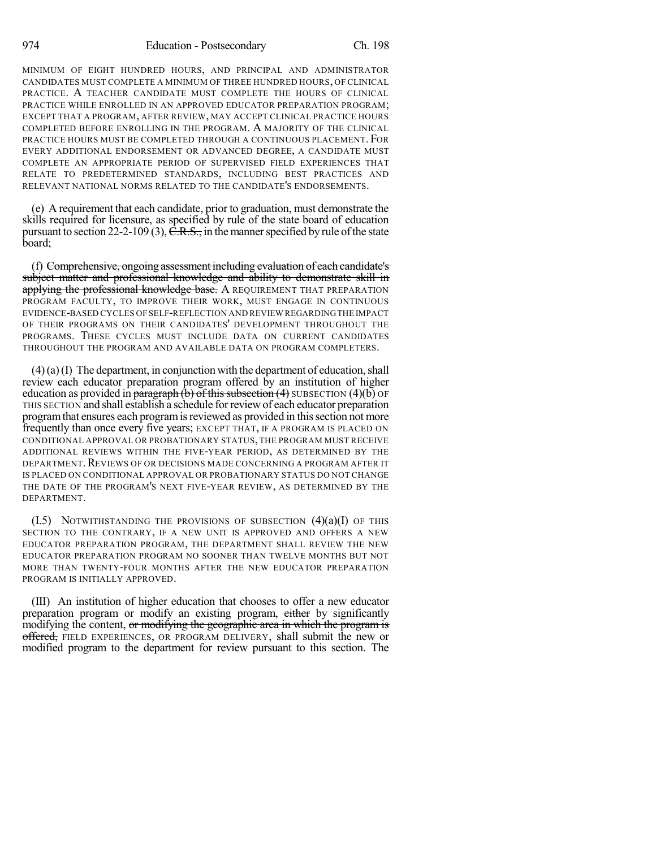MINIMUM OF EIGHT HUNDRED HOURS, AND PRINCIPAL AND ADMINISTRATOR CANDIDATES MUST COMPLETE A MINIMUM OF THREE HUNDRED HOURS, OF CLINICAL PRACTICE. A TEACHER CANDIDATE MUST COMPLETE THE HOURS OF CLINICAL PRACTICE WHILE ENROLLED IN AN APPROVED EDUCATOR PREPARATION PROGRAM; EXCEPT THAT A PROGRAM, AFTER REVIEW, MAY ACCEPT CLINICAL PRACTICE HOURS COMPLETED BEFORE ENROLLING IN THE PROGRAM. A MAJORITY OF THE CLINICAL PRACTICE HOURS MUST BE COMPLETED THROUGH A CONTINUOUS PLACEMENT. FOR EVERY ADDITIONAL ENDORSEMENT OR ADVANCED DEGREE, A CANDIDATE MUST COMPLETE AN APPROPRIATE PERIOD OF SUPERVISED FIELD EXPERIENCES THAT RELATE TO PREDETERMINED STANDARDS, INCLUDING BEST PRACTICES AND RELEVANT NATIONAL NORMS RELATED TO THE CANDIDATE'S ENDORSEMENTS.

(e) A requirement that each candidate, prior to graduation, must demonstrate the skills required for licensure, as specified by rule of the state board of education pursuant to section 22-2-109 (3),  $\overline{C.R.S.}$ , in the manner specified by rule of the state board;

(f) Comprehensive, ongoing assessment including evaluation of each candidate's subject matter and professional knowledge and ability to demonstrate skill in applying the professional knowledge base. A REQUIREMENT THAT PREPARATION PROGRAM FACULTY, TO IMPROVE THEIR WORK, MUST ENGAGE IN CONTINUOUS EVIDENCE-BASED CYCLES OF SELF-REFLECTION AND REVIEW REGARDINGTHE IMPACT OF THEIR PROGRAMS ON THEIR CANDIDATES' DEVELOPMENT THROUGHOUT THE PROGRAMS. THESE CYCLES MUST INCLUDE DATA ON CURRENT CANDIDATES THROUGHOUT THE PROGRAM AND AVAILABLE DATA ON PROGRAM COMPLETERS.

 $(4)(a)(I)$  The department, in conjunction with the department of education, shall review each educator preparation program offered by an institution of higher education as provided in paragraph  $\overline{(b)}$  of this subsection  $\overline{(4)}$  SUBSECTION  $\overline{(4)}$  OF THIS SECTION and shall establish a schedule forreviewof each educator preparation program that ensures each program is reviewed as provided in this section not more frequently than once every five years; EXCEPT THAT, IF A PROGRAM IS PLACED ON CONDITIONAL APPROVAL OR PROBATIONARY STATUS, THE PROGRAM MUST RECEIVE ADDITIONAL REVIEWS WITHIN THE FIVE-YEAR PERIOD, AS DETERMINED BY THE DEPARTMENT. REVIEWS OF OR DECISIONS MADE CONCERNING A PROGRAM AFTER IT IS PLACED ON CONDITIONAL APPROVAL OR PROBATIONARY STATUS DO NOT CHANGE THE DATE OF THE PROGRAM'S NEXT FIVE-YEAR REVIEW, AS DETERMINED BY THE DEPARTMENT.

 $(1.5)$  NOTWITHSTANDING THE PROVISIONS OF SUBSECTION  $(4)(a)(I)$  OF THIS SECTION TO THE CONTRARY, IF A NEW UNIT IS APPROVED AND OFFERS A NEW EDUCATOR PREPARATION PROGRAM, THE DEPARTMENT SHALL REVIEW THE NEW EDUCATOR PREPARATION PROGRAM NO SOONER THAN TWELVE MONTHS BUT NOT MORE THAN TWENTY-FOUR MONTHS AFTER THE NEW EDUCATOR PREPARATION PROGRAM IS INITIALLY APPROVED.

(III) An institution of higher education that chooses to offer a new educator preparation program or modify an existing program, either by significantly modifying the content, or modifying the geographic area in which the program is offered, FIELD EXPERIENCES, OR PROGRAM DELIVERY, shall submit the new or modified program to the department for review pursuant to this section. The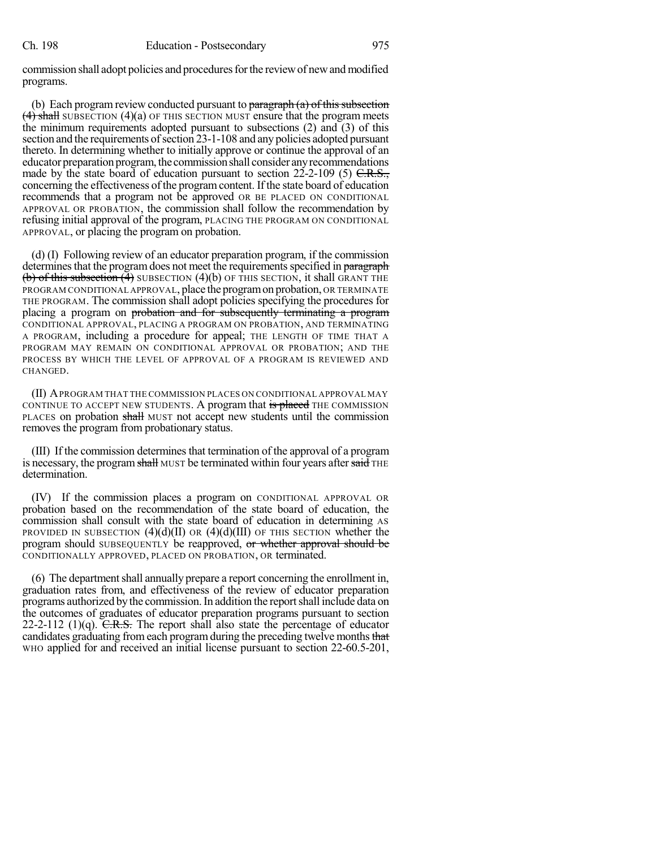commission shall adopt policies and procedures for the review of new and modified programs.

(b) Each program review conducted pursuant to  $\frac{\partial}{\partial x}$  paragraph (a) of this subsection  $(4)$  shall SUBSECTION  $(4)(a)$  OF THIS SECTION MUST ensure that the program meets the minimum requirements adopted pursuant to subsections (2) and (3) of this section and the requirements of section 23-1-108 and any policies adopted pursuant thereto. In determining whether to initially approve or continue the approval of an educator preparation program, the commission shall consider any recommendations made by the state board of education pursuant to section  $22-2-109$  (5)  $C.R.S.,$ concerning the effectiveness of the program content. If the state board of education recommends that a program not be approved OR BE PLACED ON CONDITIONAL APPROVAL OR PROBATION, the commission shall follow the recommendation by refusing initial approval of the program, PLACING THE PROGRAM ON CONDITIONAL APPROVAL, or placing the program on probation.

(d) (I) Following review of an educator preparation program, if the commission determines that the program does not meet the requirements specified in paragraph (b) of this subsection  $(4)$  SUBSECTION  $(4)(b)$  OF THIS SECTION, it shall GRANT THE PROGRAM CONDITIONAL APPROVAL, place the program on probation, OR TERMINATE THE PROGRAM. The commission shall adopt policies specifying the procedures for placing a program on probation and for subsequently terminating a program CONDITIONAL APPROVAL, PLACING A PROGRAM ON PROBATION, AND TERMINATING A PROGRAM, including a procedure for appeal; THE LENGTH OF TIME THAT A PROGRAM MAY REMAIN ON CONDITIONAL APPROVAL OR PROBATION; AND THE PROCESS BY WHICH THE LEVEL OF APPROVAL OF A PROGRAM IS REVIEWED AND CHANGED.

(II) APROGRAM THAT THE COMMISSION PLACES ON CONDITIONAL APPROVAL MAY CONTINUE TO ACCEPT NEW STUDENTS. A program that is placed THE COMMISSION PLACES on probation shall MUST not accept new students until the commission removes the program from probationary status.

(III) If the commission determinesthat termination of the approval of a program is necessary, the program shall MUST be terminated within four years after said THE determination.

(IV) If the commission places a program on CONDITIONAL APPROVAL OR probation based on the recommendation of the state board of education, the commission shall consult with the state board of education in determining AS PROVIDED IN SUBSECTION  $(4)(d)(II)$  OR  $(4)(d)(III)$  OF THIS SECTION whether the program should SUBSEQUENTLY be reapproved, or whether approval should be CONDITIONALLY APPROVED, PLACED ON PROBATION, OR terminated.

 $(6)$  The department shall annually prepare a report concerning the enrollment in, graduation rates from, and effectiveness of the review of educator preparation programs authorized bythe commission.In addition the reportshall include data on the outcomes of graduates of educator preparation programs pursuant to section 22-2-112 (1)(q).  $C.R.S.$  The report shall also state the percentage of educator candidates graduating from each program during the preceding twelve months that WHO applied for and received an initial license pursuant to section 22-60.5-201,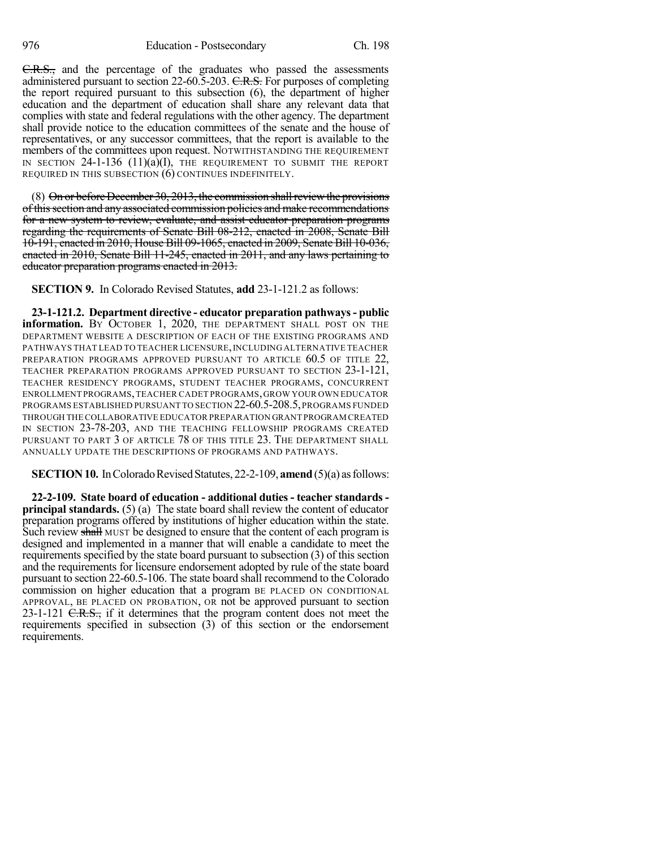C.R.S., and the percentage of the graduates who passed the assessments administered pursuant to section 22-60.5-203. C.R.S. For purposes of completing the report required pursuant to this subsection (6), the department of higher education and the department of education shall share any relevant data that complies with state and federal regulations with the other agency. The department shall provide notice to the education committees of the senate and the house of representatives, or any successor committees, that the report is available to the members of the committees upon request. NOTWITHSTANDING THE REQUIREMENT IN SECTION  $24$ -1-136 (11)(a)(I), the requirement to submit the report REQUIRED IN THIS SUBSECTION (6) CONTINUES INDEFINITELY.

 $(8)$  On or before December 30, 2013, the commission shall review the provisions of thissection and any associated commission policies and make recommendations for a new system to review, evaluate, and assist educator preparation programs regarding the requirements of Senate Bill 08-212, enacted in 2008, Senate Bill 10-191, enacted in 2010, House Bill 09-1065, enacted in 2009, Senate Bill 10-036, enacted in 2010, Senate Bill 11-245, enacted in 2011, and any laws pertaining to educator preparation programs enacted in 2013.

**SECTION 9.** In Colorado Revised Statutes, **add** 23-1-121.2 as follows:

**23-1-121.2. Department directive - educator preparation pathways- public information.** BY OCTOBER 1, 2020, THE DEPARTMENT SHALL POST ON THE DEPARTMENT WEBSITE A DESCRIPTION OF EACH OF THE EXISTING PROGRAMS AND PATHWAYS THAT LEAD TO TEACHER LICENSURE,INCLUDING ALTERNATIVE TEACHER PREPARATION PROGRAMS APPROVED PURSUANT TO ARTICLE 60.5 OF TITLE 22, TEACHER PREPARATION PROGRAMS APPROVED PURSUANT TO SECTION 23-1-121, TEACHER RESIDENCY PROGRAMS, STUDENT TEACHER PROGRAMS, CONCURRENT ENROLLMENT PROGRAMS,TEACHER CADET PROGRAMS,GROW YOUR OWN EDUCATOR PROGRAMS ESTABLISHED PURSUANT TO SECTION 22-60.5-208.5,PROGRAMS FUNDED THROUGH THE COLLABORATIVE EDUCATOR PREPARATION GRANT PROGRAM CREATED IN SECTION 23-78-203, AND THE TEACHING FELLOWSHIP PROGRAMS CREATED PURSUANT TO PART 3 OF ARTICLE 78 OF THIS TITLE 23. THE DEPARTMENT SHALL ANNUALLY UPDATE THE DESCRIPTIONS OF PROGRAMS AND PATHWAYS.

**SECTION 10.** In Colorado Revised Statutes, 22-2-109, **amend** (5)(a) as follows:

**22-2-109. State board of education - additional duties - teacher standards principal standards.** (5) (a) The state board shall review the content of educator preparation programs offered by institutions of higher education within the state. Such review shall MUST be designed to ensure that the content of each program is designed and implemented in a manner that will enable a candidate to meet the requirements specified by the state board pursuant to subsection (3) of this section and the requirements for licensure endorsement adopted by rule of the state board pursuant to section 22-60.5-106. The state board shall recommend to the Colorado commission on higher education that a program BE PLACED ON CONDITIONAL APPROVAL, BE PLACED ON PROBATION, OR not be approved pursuant to section  $23-1-121$  C.R.S., if it determines that the program content does not meet the requirements specified in subsection (3) of this section or the endorsement requirements.